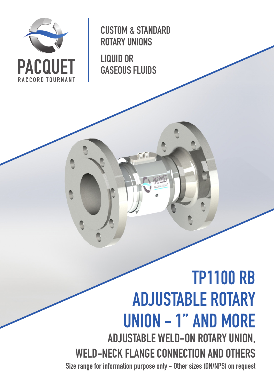

CUSTOM & STANDARD ROTARY UNIONS

LIQUID OR GASEOUS FLUIDS

# TP1100 RB ADJUSTABLE ROTARY UNION - 1'' AND MORE ADJUSTABLE WELD-ON ROTARY UNION, WELD-NECK FLANGE CONNECTION AND OTHERS Size range for information purpose only - Other sizes (DN/NPS) on request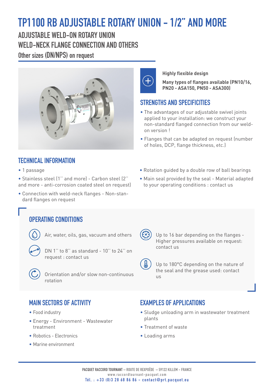## TP1100 RB ADJUSTABLE ROTARY UNION - 1/2'' AND MORE

ADJUSTABLE WELD-ON ROTARY UNION WELD-NECK FLANGE CONNECTION AND OTHERS Other sizes (DN/NPS) on request





**Highly flexible design**

**Many types of flanges available (PN10/16, PN20 - ASA150, PN50 - ASA300)**

#### STRENGTHS AND SPECIFICITIES

- The advantages of our adjustable swivel joints applied to your installation: we construct your non-standard flanged connection from our weldon version !
- Flanges that can be adapted on request (number of holes, DCP, flange thickness, etc.)

• Rotation guided by a double row of ball bearings • Main seal provided by the seal - Material adapted

to your operating conditions : contact us

#### TECHNICAL INFORMATION

• 1 passage

• Stainless steel (1'' and more) - Carbon steel (2'' and more - anti-corrosion coated steel on request)

• Connection with weld-neck flanges - Non-standard flanges on request

### OPERATING CONDITIONS

Air, water, oils, gas, vacuum and others

DN 1'' to 8'' as standard - 10'' to 24'' on request : contact us

 Orientation and/or slow non-continuous rotation

 Up to 16 bar depending on the flanges - Higher pressures available on request: contact us

 Up to 180°C depending on the nature of the seal and the grease used: contact us

#### MAIN SECTORS OF ACTIVITY

- Food industry
- Energy Environment Wastewater treatment
- Robotics Electronics
- Marine environment

#### EXAMPLES OF APPLICATIONS

- Sludge unloading arm in wastewater treatment plants
- Treatment of waste
- Loading arms